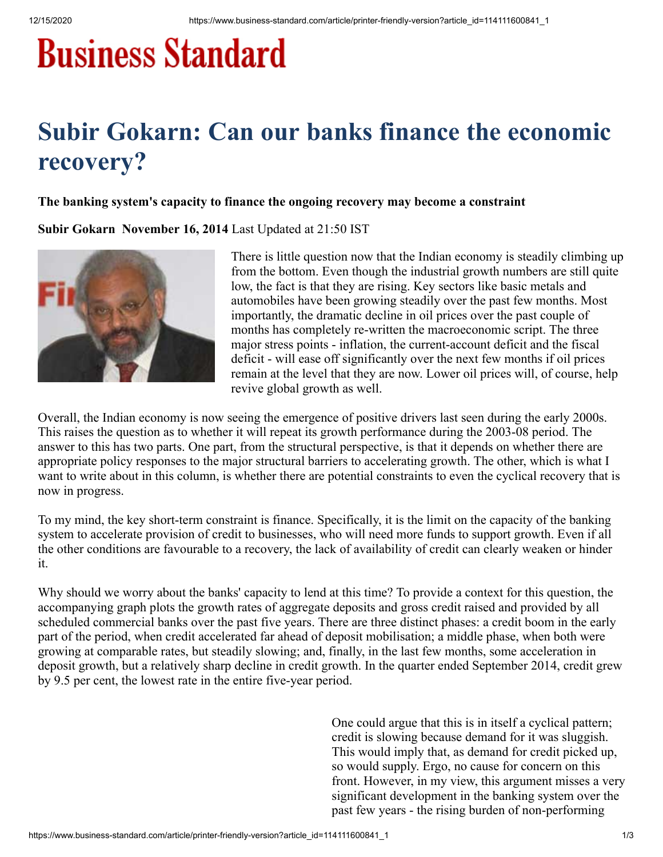## **Business Standard**

## **Subir Gokarn: Can our banks finance the economic recovery?**

## **The banking system's capacity to finance the ongoing recovery may become a constraint**

**Subir Gokarn November 16, 2014** Last Updated at 21:50 IST



There is little question now that the Indian economy is steadily climbing up from the bottom. Even though the industrial growth numbers are still quite low, the fact is that they are rising. Key sectors like basic metals and automobiles have been growing steadily over the past few months. Most importantly, the dramatic decline in oil prices over the past couple of months has completely re-written the macroeconomic script. The three major stress points - inflation, the current-account deficit and the fiscal deficit - will ease off significantly over the next few months if oil prices remain at the level that they are now. Lower oil prices will, of course, help revive global growth as well.

Overall, the Indian economy is now seeing the emergence of positive drivers last seen during the early 2000s. This raises the question as to whether it will repeat its growth performance during the 2003-08 period. The answer to this has two parts. One part, from the structural perspective, is that it depends on whether there are appropriate policy responses to the major structural barriers to accelerating growth. The other, which is what I want to write about in this column, is whether there are potential constraints to even the cyclical recovery that is now in progress.

To my mind, the key short-term constraint is finance. Specifically, it is the limit on the capacity of the banking system to accelerate provision of credit to businesses, who will need more funds to support growth. Even if all the other conditions are favourable to a recovery, the lack of availability of credit can clearly weaken or hinder it.

Why should we worry about the banks' capacity to lend at this time? To provide a context for this question, the accompanying graph plots the growth rates of aggregate deposits and gross credit raised and provided by all scheduled commercial banks over the past five years. There are three distinct phases: a credit boom in the early part of the period, when credit accelerated far ahead of deposit mobilisation; a middle phase, when both were growing at comparable rates, but steadily slowing; and, finally, in the last few months, some acceleration in deposit growth, but a relatively sharp decline in credit growth. In the quarter ended September 2014, credit grew by 9.5 per cent, the lowest rate in the entire five-year period.

> One could argue that this is in itself a cyclical pattern; credit is slowing because demand for it was sluggish. This would imply that, as demand for credit picked up, so would supply. Ergo, no cause for concern on this front. However, in my view, this argument misses a very significant development in the banking system over the past few years - the rising burden of non-performing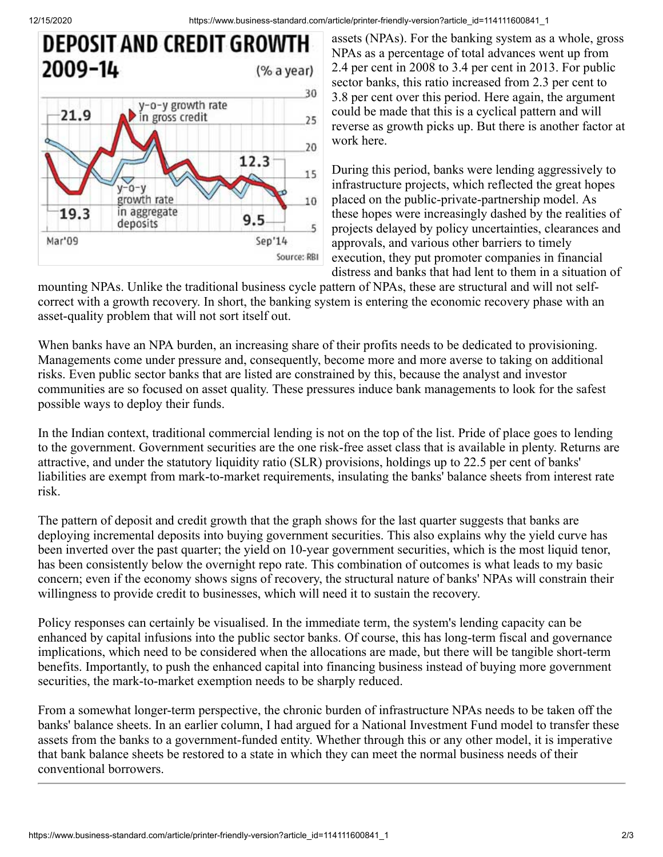12/15/2020 https://www.business-standard.com/article/printer-friendly-version?article\_id=114111600841\_1



assets (NPAs). For the banking system as a whole, gross NPAs as a percentage of total advances went up from 2.4 per cent in 2008 to 3.4 per cent in 2013. For public sector banks, this ratio increased from 2.3 per cent to 3.8 per cent over this period. Here again, the argument could be made that this is a cyclical pattern and will reverse as growth picks up. But there is another factor at work here.

During this period, banks were lending aggressively to infrastructure projects, which reflected the great hopes placed on the public-private-partnership model. As these hopes were increasingly dashed by the realities of projects delayed by policy uncertainties, clearances and approvals, and various other barriers to timely execution, they put promoter companies in financial distress and banks that had lent to them in a situation of

mounting NPAs. Unlike the traditional business cycle pattern of NPAs, these are structural and will not selfcorrect with a growth recovery. In short, the banking system is entering the economic recovery phase with an asset-quality problem that will not sort itself out.

When banks have an NPA burden, an increasing share of their profits needs to be dedicated to provisioning. Managements come under pressure and, consequently, become more and more averse to taking on additional risks. Even public sector banks that are listed are constrained by this, because the analyst and investor communities are so focused on asset quality. These pressures induce bank managements to look for the safest possible ways to deploy their funds.

In the Indian context, traditional commercial lending is not on the top of the list. Pride of place goes to lending to the government. Government securities are the one risk-free asset class that is available in plenty. Returns are attractive, and under the statutory liquidity ratio (SLR) provisions, holdings up to 22.5 per cent of banks' liabilities are exempt from mark-to-market requirements, insulating the banks' balance sheets from interest rate risk.

The pattern of deposit and credit growth that the graph shows for the last quarter suggests that banks are deploying incremental deposits into buying government securities. This also explains why the yield curve has been inverted over the past quarter; the yield on 10-year government securities, which is the most liquid tenor, has been consistently below the overnight repo rate. This combination of outcomes is what leads to my basic concern; even if the economy shows signs of recovery, the structural nature of banks' NPAs will constrain their willingness to provide credit to businesses, which will need it to sustain the recovery.

Policy responses can certainly be visualised. In the immediate term, the system's lending capacity can be enhanced by capital infusions into the public sector banks. Of course, this has long-term fiscal and governance implications, which need to be considered when the allocations are made, but there will be tangible short-term benefits. Importantly, to push the enhanced capital into financing business instead of buying more government securities, the mark-to-market exemption needs to be sharply reduced.

From a somewhat longer-term perspective, the chronic burden of infrastructure NPAs needs to be taken off the banks' balance sheets. In an earlier column, I had argued for a National Investment Fund model to transfer these assets from the banks to a government-funded entity. Whether through this or any other model, it is imperative that bank balance sheets be restored to a state in which they can meet the normal business needs of their conventional borrowers.